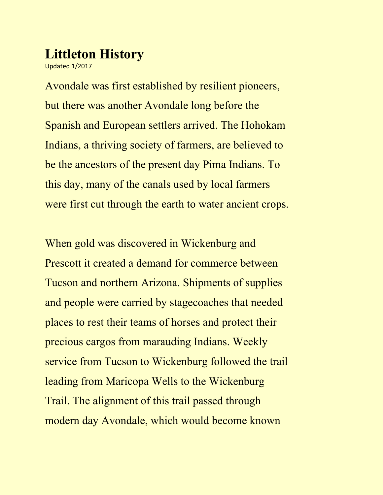## **Littleton History**

Updated 1/2017

Avondale was first established by resilient pioneers, but there was another Avondale long before the Spanish and European settlers arrived. The Hohokam Indians, a thriving society of farmers, are believed to be the ancestors of the present day Pima Indians. To this day, many of the canals used by local farmers were first cut through the earth to water ancient crops.

When gold was discovered in Wickenburg and Prescott it created a demand for commerce between Tucson and northern Arizona. Shipments of supplies and people were carried by stagecoaches that needed places to rest their teams of horses and protect their precious cargos from marauding Indians. Weekly service from Tucson to Wickenburg followed the trail leading from Maricopa Wells to the Wickenburg Trail. The alignment of this trail passed through modern day Avondale, which would become known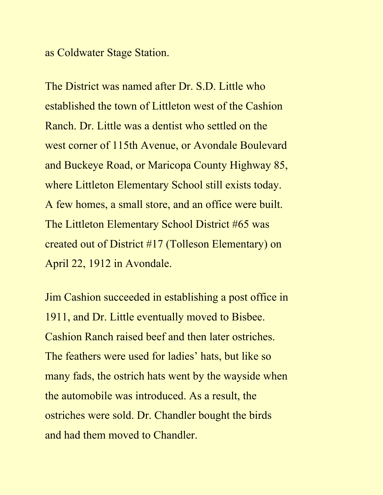as Coldwater Stage Station.

The District was named after Dr. S.D. Little who established the town of Littleton west of the Cashion Ranch. Dr. Little was a dentist who settled on the west corner of 115th Avenue, or Avondale Boulevard and Buckeye Road, or Maricopa County Highway 85, where Littleton Elementary School still exists today. A few homes, a small store, and an office were built. The Littleton Elementary School District #65 was created out of District #17 (Tolleson Elementary) on April 22, 1912 in Avondale.

Jim Cashion succeeded in establishing a post office in 1911, and Dr. Little eventually moved to Bisbee. Cashion Ranch raised beef and then later ostriches. The feathers were used for ladies' hats, but like so many fads, the ostrich hats went by the wayside when the automobile was introduced. As a result, the ostriches were sold. Dr. Chandler bought the birds and had them moved to Chandler.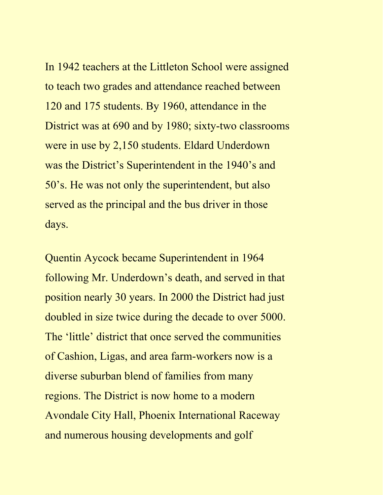In 1942 teachers at the Littleton School were assigned to teach two grades and attendance reached between 120 and 175 students. By 1960, attendance in the District was at 690 and by 1980; sixty-two classrooms were in use by 2,150 students. Eldard Underdown was the District's Superintendent in the 1940's and 50's. He was not only the superintendent, but also served as the principal and the bus driver in those days.

Quentin Aycock became Superintendent in 1964 following Mr. Underdown's death, and served in that position nearly 30 years. In 2000 the District had just doubled in size twice during the decade to over 5000. The 'little' district that once served the communities of Cashion, Ligas, and area farm-workers now is a diverse suburban blend of families from many regions. The District is now home to a modern Avondale City Hall, Phoenix International Raceway and numerous housing developments and golf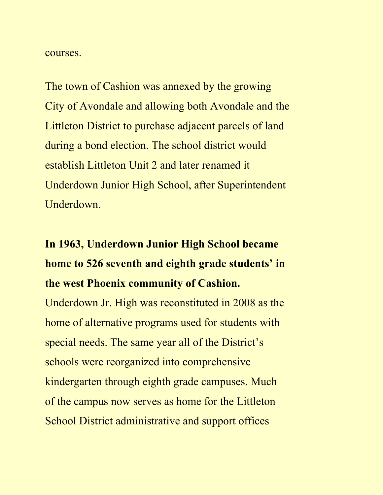courses.

The town of Cashion was annexed by the growing City of Avondale and allowing both Avondale and the Littleton District to purchase adjacent parcels of land during a bond election. The school district would establish Littleton Unit 2 and later renamed it Underdown Junior High School, after Superintendent Underdown.

## **In 1963, Underdown Junior High School became home to 526 seventh and eighth grade students' in the west Phoenix community of Cashion.**

Underdown Jr. High was reconstituted in 2008 as the home of alternative programs used for students with special needs. The same year all of the District's schools were reorganized into comprehensive kindergarten through eighth grade campuses. Much of the campus now serves as home for the Littleton School District administrative and support offices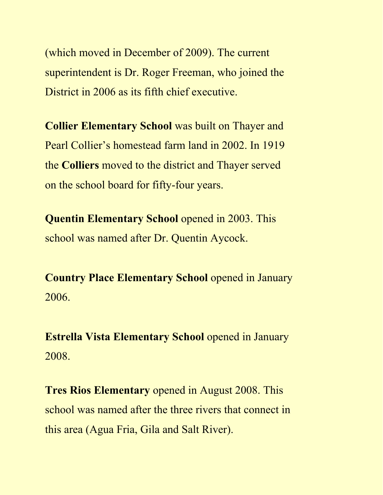(which moved in December of 2009). The current superintendent is Dr. Roger Freeman, who joined the District in 2006 as its fifth chief executive.

**Collier Elementary School** was built on Thayer and Pearl Collier's homestead farm land in 2002. In 1919 the **Colliers** moved to the district and Thayer served on the school board for fifty-four years.

**Quentin Elementary School** opened in 2003. This school was named after Dr. Quentin Aycock.

**Country Place Elementary School** opened in January 2006.

**Estrella Vista Elementary School** opened in January 2008.

**Tres Rios Elementary** opened in August 2008. This school was named after the three rivers that connect in this area (Agua Fria, Gila and Salt River).